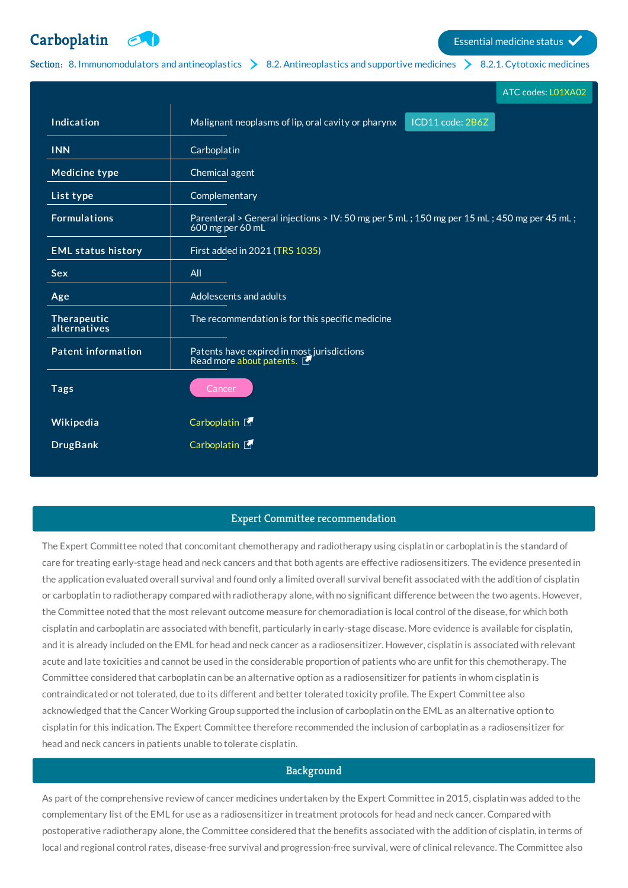**[Carboplatin](http://list.essentialmeds.org/medicines/77) Extending the Carboplatin Essential medicine status** 

# Section: 8. [Immunomodulators](http://list.essentialmeds.org/?section=374) and antineoplastics  $\geq 8.2$ . [Antineoplastics](http://list.essentialmeds.org/?section=376) and supportive medicines  $\geq 8.2.1$ . [Cytotoxic](http://list.essentialmeds.org/?section=480) medicines

|                             | ATC codes: L01XA02                                                                                            |
|-----------------------------|---------------------------------------------------------------------------------------------------------------|
| Indication                  | ICD11 code: 2B6Z<br>Malignant neoplasms of lip, oral cavity or pharynx                                        |
| <b>INN</b>                  | Carboplatin                                                                                                   |
| <b>Medicine type</b>        | Chemical agent                                                                                                |
| List type                   | Complementary                                                                                                 |
| <b>Formulations</b>         | Parenteral > General injections > IV: 50 mg per 5 mL; 150 mg per 15 mL; 450 mg per 45 mL;<br>600 mg per 60 mL |
| <b>EML status history</b>   | First added in 2021 (TRS 1035)                                                                                |
| <b>Sex</b>                  | All                                                                                                           |
| Age                         | Adolescents and adults                                                                                        |
| Therapeutic<br>alternatives | The recommendation is for this specific medicine                                                              |
| <b>Patent information</b>   | Patents have expired in most jurisdictions<br>Read more about patents.                                        |
| <b>Tags</b>                 | Cancer                                                                                                        |
| Wikipedia                   | Carboplatin E                                                                                                 |
| <b>DrugBank</b>             | Carboplatin <sup>[1]</sup>                                                                                    |
|                             |                                                                                                               |

# Expert Committee recommendation

The Expert Committee noted that concomitant chemotherapy and radiotherapy using cisplatin or carboplatin is the standard of care for treating early-stage head and neck cancers and that both agents are effective radiosensitizers. The evidence presented in the application evaluated overall survival and found only a limited overall survival benefit associated with the addition of cisplatin or carboplatin to radiotherapy compared with radiotherapy alone, with no significant difference between the two agents. However, the Committee noted that the most relevant outcome measure for chemoradiation is local control of the disease, for which both cisplatin and carboplatin are associated with benefit, particularly in early-stage disease. More evidence is available for cisplatin, and it is already included on the EML for head and neck cancer as a radiosensitizer. However, cisplatin is associated with relevant acute and late toxicities and cannot be used in the considerable proportion of patients who are unfit for this chemotherapy. The Committee considered that carboplatin can be an alternative option as a radiosensitizer for patients in whom cisplatin is contraindicated or not tolerated, due to its different and better tolerated toxicity profile. The Expert Committee also acknowledged that the Cancer Working Group supported the inclusion of carboplatin on the EML as an alternative option to cisplatin for this indication. The Expert Committee therefore recommended the inclusion of carboplatin as a radiosensitizer for head and neck cancers in patients unable to tolerate cisplatin.

# **Background**

As part of the comprehensive review of cancer medicines undertaken by the Expert Committee in 2015, cisplatin was added to the complementary list of the EML for use as a radiosensitizer in treatment protocols for head and neck cancer. Compared with postoperative radiotherapy alone, the Committee considered that the benefits associated with the addition of cisplatin, in terms of local and regional control rates, disease-free survival and progression-free survival, were of clinical relevance. The Committee also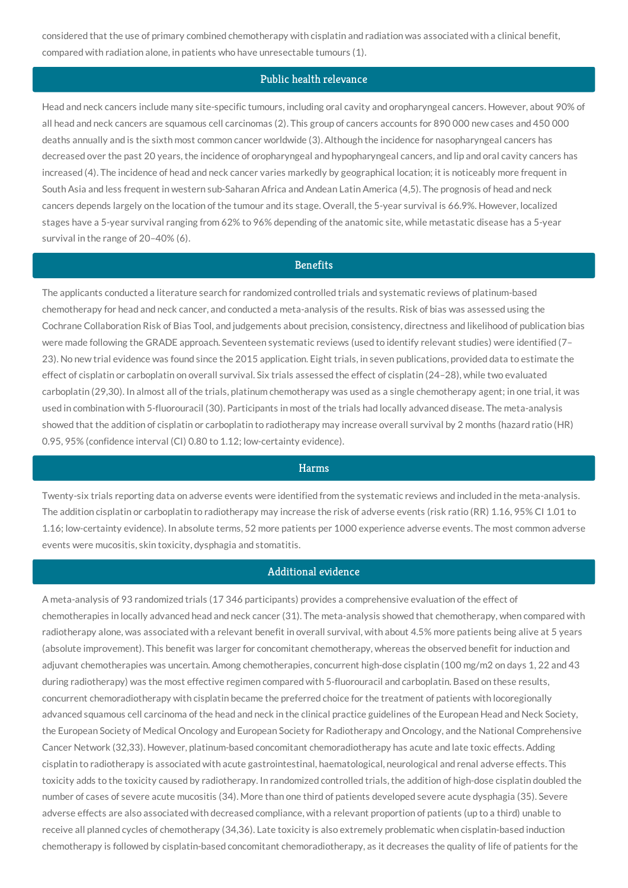considered that the use of primary combined chemotherapy with cisplatin and radiation was associated with a clinical benefit, compared with radiation alone, in patients who have unresectable tumours (1).

## Public health relevance

Head and neck cancers include many site-specific tumours, including oral cavity and oropharyngeal cancers. However, about 90% of all head and neck cancers are squamous cell carcinomas (2). This group of cancers accounts for 890 000 new cases and 450 000 deaths annually and is the sixth most common cancer worldwide (3). Although the incidence for nasopharyngeal cancers has decreased over the past 20 years, the incidence of oropharyngeal and hypopharyngeal cancers, and lip and oral cavity cancers has increased (4). The incidence of head and neck cancer varies markedly by geographical location; it is noticeably more frequent in South Asia and less frequent in western sub-Saharan Africa and Andean Latin America (4,5). The prognosis of head and neck cancers depends largely on the location of the tumour and its stage. Overall, the 5-year survival is 66.9%. However, localized stages have a 5-year survival ranging from 62% to 96% depending of the anatomic site, while metastatic disease has a 5-year survival in the range of 20–40% (6).

## **Benefits**

The applicants conducted a literature search for randomized controlled trials and systematic reviews of platinum-based chemotherapy for head and neck cancer, and conducted a meta-analysis of the results. Risk of bias was assessed using the Cochrane Collaboration Risk of Bias Tool, and judgements about precision, consistency, directness and likelihood of publication bias were made following the GRADE approach. Seventeen systematic reviews (used to identify relevant studies) were identified (7– 23). No new trial evidence was found since the 2015 application. Eight trials, in seven publications, provided data to estimate the effect of cisplatin or carboplatin on overall survival. Six trials assessed the effect of cisplatin (24–28), while two evaluated carboplatin (29,30). In almost all of the trials, platinum chemotherapy was used as a single chemotherapy agent; in one trial, it was used in combination with 5-fluorouracil (30). Participants in most of the trials had locally advanced disease. The meta-analysis showed that the addition of cisplatin or carboplatin to radiotherapy may increase overall survival by 2 months (hazard ratio (HR) 0.95, 95% (confidence interval (CI) 0.80 to 1.12; low-certainty evidence).

### **Harms**

Twenty-six trials reporting data on adverse events were identified from the systematic reviews and included in the meta-analysis. The addition cisplatin or carboplatin to radiotherapy may increase the risk of adverse events (risk ratio (RR) 1.16, 95% CI 1.01 to 1.16; low-certainty evidence). In absolute terms, 52 more patients per 1000 experience adverse events. The most common adverse events were mucositis, skin toxicity, dysphagia and stomatitis.

## Additional evidence

A meta-analysis of 93 randomized trials (17 346 participants) provides a comprehensive evaluation of the effect of chemotherapies in locally advanced head and neck cancer (31). The meta-analysis showed that chemotherapy, when compared with radiotherapy alone, was associated with a relevant benefit in overall survival, with about 4.5% more patients being alive at 5 years (absolute improvement). This benefit was larger for concomitant chemotherapy, whereas the observed benefit for induction and adjuvant chemotherapies was uncertain. Among chemotherapies, concurrent high-dose cisplatin (100 mg/m2 on days 1, 22 and 43 during radiotherapy) was the most effective regimen compared with 5-fluorouracil and carboplatin. Based on these results, concurrent chemoradiotherapy with cisplatin became the preferred choice for the treatment of patients with locoregionally advanced squamous cell carcinoma of the head and neck in the clinical practice guidelines of the European Head and Neck Society, the European Society of Medical Oncology and European Society for Radiotherapy and Oncology, and the National Comprehensive Cancer Network (32,33). However, platinum-based concomitant chemoradiotherapy has acute and late toxic effects. Adding cisplatin to radiotherapy is associated with acute gastrointestinal, haematological, neurological and renal adverse effects. This toxicity adds to the toxicity caused by radiotherapy. In randomized controlled trials, the addition of high-dose cisplatin doubled the number of cases of severe acute mucositis (34). More than one third of patients developed severe acute dysphagia (35). Severe adverse effects are also associated with decreased compliance, with a relevant proportion of patients (up to a third) unable to receive all planned cycles of chemotherapy (34,36). Late toxicity is also extremely problematic when cisplatin-based induction chemotherapy is followed by cisplatin-based concomitant chemoradiotherapy, as it decreases the quality of life of patients for the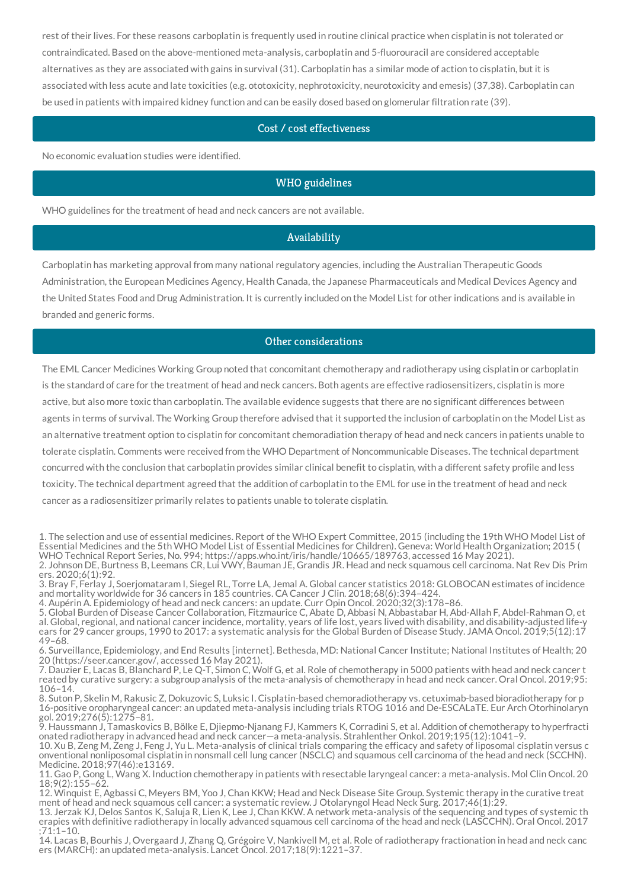rest of their lives. For these reasons carboplatin is frequently used in routine clinical practice when cisplatin is not tolerated or contraindicated. Based on the above-mentioned meta-analysis, carboplatin and 5-fluorouracil are considered acceptable alternatives as they are associated with gains in survival (31). Carboplatin has a similar mode of action to cisplatin, but it is associated with less acute and late toxicities (e.g. ototoxicity, nephrotoxicity, neurotoxicity and emesis) (37,38). Carboplatin can be used in patients with impaired kidney function and can be easily dosed based on glomerular filtration rate (39).

## Cost / cost effectiveness

No economic evaluation studies were identified.

## WHO guidelines

WHO guidelines for the treatment of head and neck cancers are not available.

## Availability

Carboplatin has marketing approval from many national regulatory agencies, including the Australian Therapeutic Goods Administration, the European Medicines Agency, Health Canada, the Japanese Pharmaceuticals and Medical Devices Agency and the United States Food and Drug Administration. It is currently included on the Model List for other indications and is available in branded and generic forms.

## Other considerations

The EML Cancer Medicines Working Group noted that concomitant chemotherapy and radiotherapy using cisplatin or carboplatin is the standard of care for the treatment of head and neck cancers. Both agents are effective radiosensitizers, cisplatin is more active, but also more toxic than carboplatin. The available evidence suggests that there are no significant differences between agents in terms of survival. The Working Group therefore advised that it supported the inclusion of carboplatin on the Model List as an alternative treatment option to cisplatin for concomitant chemoradiation therapy of head and neck cancers in patients unable to tolerate cisplatin. Comments were received from the WHO Department of Noncommunicable Diseases. The technical department concurred with the conclusion that carboplatin provides similar clinical benefit to cisplatin, with a different safety profile and less toxicity. The technical department agreed that the addition of carboplatin to the EML for use in the treatment of head and neck cancer as a radiosensitizer primarily relates to patients unable to tolerate cisplatin.

4. Aupérin A. Epidemiology of head and neck cancers: an update. Curr Opin Oncol. 2020;32(3):178–86.

5. Global Burden of Disease Cancer Collaboration, Fitzmaurice C, Abate D, Abbasi N, Abbastabar H, Abd-Allah F, Abdel-Rahman O, et al. Global, regional, and national cancer incidence, mortality, years of life lost, years lived with disability, and disability-adjusted life-y ears for 29 cancer groups, 1990 to 2017: a systematic analysis for the Global Burden of Disease Study. JAMA Oncol. 2019;5(12):17 49–68.

6. Surveillance, Epidemiology, and End Results [internet]. Bethesda, MD: National Cancer Institute; National Institutes of Health; 20 20 (https://seer.cancer.gov/, accessed 16 May 2021).

7. Dauzier E, Lacas B, Blanchard P, Le Q-T, Simon C, Wolf G, et al. Role of chemotherapy in 5000 patients with head and neck cancer t reated by curative surgery: a subgroup analysis of the meta-analysis of chemotherapy in head and neck cancer. Oral Oncol. 2019;95: 106–14.

8. Suton P, Skelin M, Rakusic Z, Dokuzovic S, Luksic I. Cisplatin-based chemoradiotherapy vs. cetuximab-based bioradiotherapy for p 16-positive oropharyngeal cancer: an updated meta-analysis including trials RTOG 1016 and De-ESCALaTE. Eur Arch Otorhinolaryn gol. 2019;276(5):1275–81.

9. Haussmann J, Tamaskovics B, Bölke E, Djiepmo-Njanang FJ, Kammers K, Corradini S, et al. Addition of chemotherapy to hyperfracti onated radiotherapy in advanced head and neck cancer—a meta-analysis. Strahlenther Onkol. 2019;195(12):1041–9.

10. Xu B, Zeng M, Zeng J, Feng J, Yu L. Meta-analysis of clinical trials comparing the efficacy and safety of liposomal cisplatin versus conventional nonliposomal cisplatin in nonsmall cell lung cancer (NSCLC) and squamous onventional nonliposomal cisplatin in nonsmall cell lung cancer (NSCLC) and squamous cell carcinoma of the head and neck (SCCHN).<br>Medicine. 2018;97(46):e13169.

11. Gao P, Gong L, Wang X. Induction chemotherapy in patients with resectable laryngeal cancer: a meta-analysis. Mol Clin Oncol. 20 18;9(2):155–62.

12. Winquist E, Agbassi C, Meyers BM, Yoo J, Chan KKW; Head and Neck Disease Site Group. Systemic therapy in the curative treat ment of head and neck squamous cell cancer: a systematic review. J Otolaryngol Head Neck Surg. 2017;46(1):29.

13. Jerzak KJ, Delos Santos K, Saluja R, Lien K, Lee J, Chan KKW. A network meta-analysis of the sequencing and types of systemic th erapies with definitive radiotherapy in locally advanced squamous cell carcinoma of the head and neck (LASCCHN). Oral Oncol. 2017 ;71:1–10.

14. Lacas B, Bourhis J, Overgaard J, Zhang Q, Grégoire V, Nankivell M, et al. Role of radiotherapy fractionation in head and neck canc ers (MARCH): an updated meta-analysis. Lancet Oncol. 2017;18(9):1221–37.

<sup>1.</sup> The selection and use of essential medicines. Report of the WHO Expert Committee, 2015 (including the 19th WHO Model List of Essential Medicines and the 5th WHO Model List of Essential Medicines for Children). Geneva: World Health Organization; 2015 ( WHO Technical Report Series, No. 994; https://apps.who.int/iris/handle/10665/189763, accessed 16 May 2021). 2. Johnson DE, Burtness B, Leemans CR, Lui VWY, Bauman JE, Grandis JR. Head and neck squamous cell carcinoma. Nat Rev Dis Prim ers. 2020;6(1):92.

<sup>3.</sup> Bray F, Ferlay J, Soerjomataram I, Siegel RL, Torre LA, Jemal A. Global cancer statistics 2018: GLOBOCAN estimates of incidence and mortality worldwide for 36 cancers in 185 countries. CA Cancer J Clin. 2018;68(6):394–424.